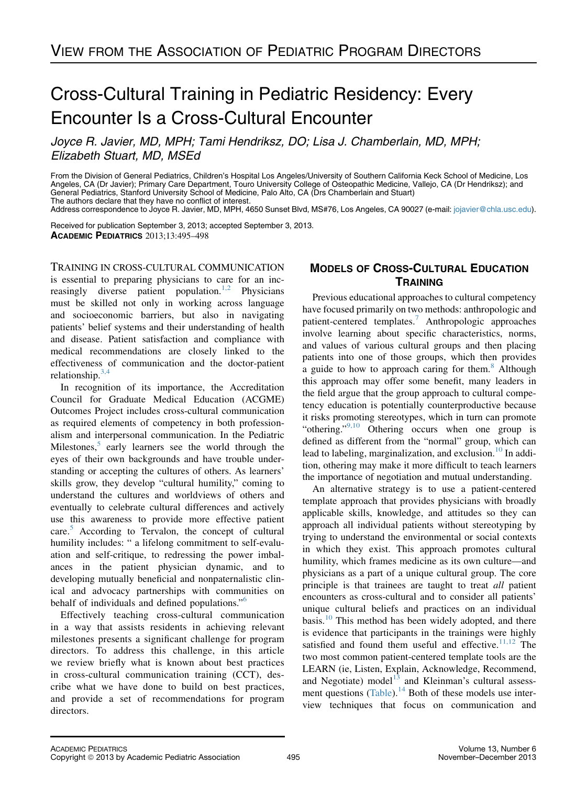# Cross-Cultural Training in Pediatric Residency: Every Encounter Is a Cross-Cultural Encounter

Joyce R. Javier, MD, MPH; Tami Hendriksz, DO; Lisa J. Chamberlain, MD, MPH; Elizabeth Stuart, MD, MSEd

From the Division of General Pediatrics, Children's Hospital Los Angeles/University of Southern California Keck School of Medicine, Los Angeles, CA (Dr Javier); Primary Care Department, Touro University College of Osteopathic Medicine, Vallejo, CA (Dr Hendriksz); and General Pediatrics, Stanford University School of Medicine, Palo Alto, CA (Drs Chamberlain and Stuart) The authors declare that they have no conflict of interest.

Address correspondence to Joyce R. Javier, MD, MPH, 4650 Sunset Blvd, MS#76, Los Angeles, CA 90027 (e-mail: [jojavier@chla.usc.edu\)](mailto:jojavier@chla.usc.edu).

Received for publication September 3, 2013; accepted September 3, 2013. ACADEMIC PEDIATRICS 2013;13:495–498

TRAINING IN CROSS-CULTURAL COMMUNICATION is essential to preparing physicians to care for an inc-reasingly diverse patient population.<sup>[1,2](#page-2-0)</sup> Physicians must be skilled not only in working across language and socioeconomic barriers, but also in navigating patients' belief systems and their understanding of health and disease. Patient satisfaction and compliance with medical recommendations are closely linked to the effectiveness of communication and the doctor-patient relationship. $3,4$ 

In recognition of its importance, the Accreditation Council for Graduate Medical Education (ACGME) Outcomes Project includes cross-cultural communication as required elements of competency in both professionalism and interpersonal communication. In the Pediatric Milestones, $5$  early learners see the world through the eyes of their own backgrounds and have trouble understanding or accepting the cultures of others. As learners' skills grow, they develop "cultural humility," coming to understand the cultures and worldviews of others and eventually to celebrate cultural differences and actively use this awareness to provide more effective patient care.[5](#page-2-0) According to Tervalon, the concept of cultural humility includes: " a lifelong commitment to self-evaluation and self-critique, to redressing the power imbalances in the patient physician dynamic, and to developing mutually beneficial and nonpaternalistic clinical and advocacy partnerships with communities on behalf of individuals and defined populations."[6](#page-2-0)

Effectively teaching cross-cultural communication in a way that assists residents in achieving relevant milestones presents a significant challenge for program directors. To address this challenge, in this article we review briefly what is known about best practices in cross-cultural communication training (CCT), describe what we have done to build on best practices, and provide a set of recommendations for program directors.

## MODELS OF CROSS-CULTURAL EDUCATION **TRAINING**

Previous educational approaches to cultural competency have focused primarily on two methods: anthropologic and patient-centered templates.<sup>[7](#page-2-0)</sup> Anthropologic approaches involve learning about specific characteristics, norms, and values of various cultural groups and then placing patients into one of those groups, which then provides a guide to how to approach caring for them.<sup>[8](#page-2-0)</sup> Although this approach may offer some benefit, many leaders in the field argue that the group approach to cultural competency education is potentially counterproductive because it risks promoting stereotypes, which in turn can promote "othering."<sup>[9,10](#page-2-0)</sup> Othering occurs when one group is defined as different from the "normal" group, which can lead to labeling, marginalization, and exclusion.<sup>[10](#page-2-0)</sup> In addition, othering may make it more difficult to teach learners the importance of negotiation and mutual understanding.

An alternative strategy is to use a patient-centered template approach that provides physicians with broadly applicable skills, knowledge, and attitudes so they can approach all individual patients without stereotyping by trying to understand the environmental or social contexts in which they exist. This approach promotes cultural humility, which frames medicine as its own culture—and physicians as a part of a unique cultural group. The core principle is that trainees are taught to treat all patient encounters as cross-cultural and to consider all patients' unique cultural beliefs and practices on an individual basis.<sup>[10](#page-2-0)</sup> This method has been widely adopted, and there is evidence that participants in the trainings were highly satisfied and found them useful and effective. $11,12$  The two most common patient-centered template tools are the LEARN (ie, Listen, Explain, Acknowledge, Recommend, and Negotiate) model<sup>[13](#page-2-0)</sup> and Kleinman's cultural assessment questions  $(Table)$  $(Table)$ .<sup>[14](#page-2-0)</sup> Both of these models use interview techniques that focus on communication and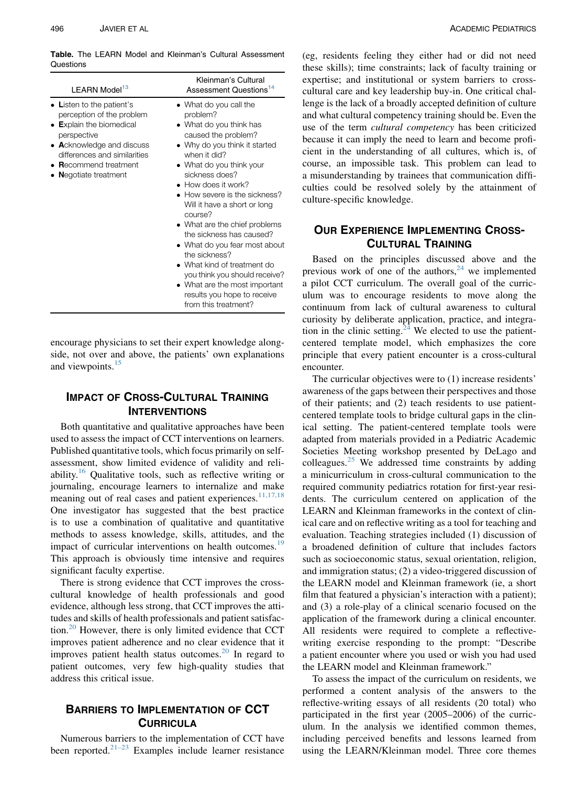<span id="page-1-0"></span>Table. The LEARN Model and Kleinman's Cultural Assessment **Questions** 

| LEARN Model <sup>13</sup>                                                                                                                                                                                        | Kleinman's Cultural<br>Assessment Questions <sup>14</sup>                                                                                                                                                                                                                                                                                                                                                                                                                                                                                                     |
|------------------------------------------------------------------------------------------------------------------------------------------------------------------------------------------------------------------|---------------------------------------------------------------------------------------------------------------------------------------------------------------------------------------------------------------------------------------------------------------------------------------------------------------------------------------------------------------------------------------------------------------------------------------------------------------------------------------------------------------------------------------------------------------|
| • Listen to the patient's<br>perception of the problem<br>• Explain the biomedical<br>perspective<br>• Acknowledge and discuss<br>differences and similarities<br>• Recommend treatment<br>• Negotiate treatment | • What do you call the<br>problem?<br>• What do you think has<br>caused the problem?<br>• Why do you think it started<br>when it did?<br>• What do you think your<br>sickness does?<br>• How does it work?<br>• How severe is the sickness?<br>Will it have a short or long<br>course?<br>• What are the chief problems<br>the sickness has caused?<br>• What do you fear most about<br>the sickness?<br>• What kind of treatment do<br>you think you should receive?<br>• What are the most important<br>results you hope to receive<br>from this treatment? |

encourage physicians to set their expert knowledge alongside, not over and above, the patients' own explanations and viewpoints.<sup>[15](#page-2-0)</sup>

## IMPACT OF CROSS-CULTURAL TRAINING INTERVENTIONS

Both quantitative and qualitative approaches have been used to assess the impact of CCT interventions on learners. Published quantitative tools, which focus primarily on selfassessment, show limited evidence of validity and reli-ability.<sup>[16](#page-2-0)</sup> Qualitative tools, such as reflective writing or journaling, encourage learners to internalize and make meaning out of real cases and patient experiences.<sup>[11,17,18](#page-2-0)</sup> One investigator has suggested that the best practice is to use a combination of qualitative and quantitative methods to assess knowledge, skills, attitudes, and the impact of curricular interventions on health outcomes.<sup>[19](#page-2-0)</sup> This approach is obviously time intensive and requires significant faculty expertise.

There is strong evidence that CCT improves the crosscultural knowledge of health professionals and good evidence, although less strong, that CCT improves the attitudes and skills of health professionals and patient satisfaction.[20](#page-2-0) However, there is only limited evidence that CCT improves patient adherence and no clear evidence that it improves patient health status outcomes.[20](#page-2-0) In regard to patient outcomes, very few high-quality studies that address this critical issue.

## BARRIERS TO IMPLEMENTATION OF CCT **CURRICULA**

Numerous barriers to the implementation of CCT have been reported.<sup>[21–23](#page-2-0)</sup> Examples include learner resistance

(eg, residents feeling they either had or did not need these skills); time constraints; lack of faculty training or expertise; and institutional or system barriers to crosscultural care and key leadership buy-in. One critical challenge is the lack of a broadly accepted definition of culture and what cultural competency training should be. Even the use of the term cultural competency has been criticized because it can imply the need to learn and become proficient in the understanding of all cultures, which is, of course, an impossible task. This problem can lead to a misunderstanding by trainees that communication difficulties could be resolved solely by the attainment of culture-specific knowledge.

## OUR EXPERIENCE IMPLEMENTING CROSS-CULTURAL TRAINING

Based on the principles discussed above and the previous work of one of the authors,  $24$  we implemented a pilot CCT curriculum. The overall goal of the curriculum was to encourage residents to move along the continuum from lack of cultural awareness to cultural curiosity by deliberate application, practice, and integra-tion in the clinic setting.<sup>[24](#page-3-0)</sup> We elected to use the patientcentered template model, which emphasizes the core principle that every patient encounter is a cross-cultural encounter.

The curricular objectives were to (1) increase residents' awareness of the gaps between their perspectives and those of their patients; and (2) teach residents to use patientcentered template tools to bridge cultural gaps in the clinical setting. The patient-centered template tools were adapted from materials provided in a Pediatric Academic Societies Meeting workshop presented by DeLago and colleagues. $25$  We addressed time constraints by adding a minicurriculum in cross-cultural communication to the required community pediatrics rotation for first-year residents. The curriculum centered on application of the LEARN and Kleinman frameworks in the context of clinical care and on reflective writing as a tool for teaching and evaluation. Teaching strategies included (1) discussion of a broadened definition of culture that includes factors such as socioeconomic status, sexual orientation, religion, and immigration status; (2) a video-triggered discussion of the LEARN model and Kleinman framework (ie, a short film that featured a physician's interaction with a patient); and (3) a role-play of a clinical scenario focused on the application of the framework during a clinical encounter. All residents were required to complete a reflectivewriting exercise responding to the prompt: "Describe a patient encounter where you used or wish you had used the LEARN model and Kleinman framework."

To assess the impact of the curriculum on residents, we performed a content analysis of the answers to the reflective-writing essays of all residents (20 total) who participated in the first year (2005–2006) of the curriculum. In the analysis we identified common themes, including perceived benefits and lessons learned from using the LEARN/Kleinman model. Three core themes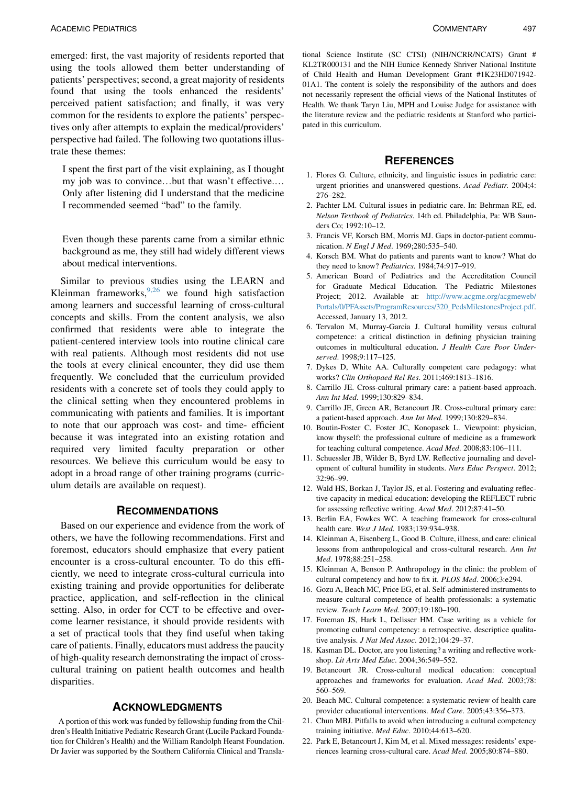<span id="page-2-0"></span>emerged: first, the vast majority of residents reported that using the tools allowed them better understanding of patients' perspectives; second, a great majority of residents found that using the tools enhanced the residents' perceived patient satisfaction; and finally, it was very common for the residents to explore the patients' perspectives only after attempts to explain the medical/providers' perspective had failed. The following two quotations illustrate these themes:

I spent the first part of the visit explaining, as I thought my job was to convince...but that wasn't effective.... Only after listening did I understand that the medicine I recommended seemed "bad" to the family.

Even though these parents came from a similar ethnic background as me, they still had widely different views about medical interventions.

Similar to previous studies using the LEARN and Kleinman frameworks,  $9,26$  we found high satisfaction among learners and successful learning of cross-cultural concepts and skills. From the content analysis, we also confirmed that residents were able to integrate the patient-centered interview tools into routine clinical care with real patients. Although most residents did not use the tools at every clinical encounter, they did use them frequently. We concluded that the curriculum provided residents with a concrete set of tools they could apply to the clinical setting when they encountered problems in communicating with patients and families. It is important to note that our approach was cost- and time- efficient because it was integrated into an existing rotation and required very limited faculty preparation or other resources. We believe this curriculum would be easy to adopt in a broad range of other training programs (curriculum details are available on request).

#### **RECOMMENDATIONS**

Based on our experience and evidence from the work of others, we have the following recommendations. First and foremost, educators should emphasize that every patient encounter is a cross-cultural encounter. To do this efficiently, we need to integrate cross-cultural curricula into existing training and provide opportunities for deliberate practice, application, and self-reflection in the clinical setting. Also, in order for CCT to be effective and overcome learner resistance, it should provide residents with a set of practical tools that they find useful when taking care of patients. Finally, educators must address the paucity of high-quality research demonstrating the impact of crosscultural training on patient health outcomes and health disparities.

#### ACKNOWLEDGMENTS

A portion of this work was funded by fellowship funding from the Children's Health Initiative Pediatric Research Grant (Lucile Packard Foundation for Children's Health) and the William Randolph Hearst Foundation. Dr Javier was supported by the Southern California Clinical and Transla-

tional Science Institute (SC CTSI) (NIH/NCRR/NCATS) Grant # KL2TR000131 and the NIH Eunice Kennedy Shriver National Institute of Child Health and Human Development Grant #1K23HD071942- 01A1. The content is solely the responsibility of the authors and does not necessarily represent the official views of the National Institutes of Health. We thank Taryn Liu, MPH and Louise Judge for assistance with the literature review and the pediatric residents at Stanford who participated in this curriculum.

#### **REFERENCES**

- 1. Flores G. Culture, ethnicity, and linguistic issues in pediatric care: urgent priorities and unanswered questions. Acad Pediatr. 2004;4: 276–282.
- 2. Pachter LM. Cultural issues in pediatric care. In: Behrman RE, ed. Nelson Textbook of Pediatrics. 14th ed. Philadelphia, Pa: WB Saunders Co; 1992:10–12.
- 3. Francis VF, Korsch BM, Morris MJ. Gaps in doctor-patient communication. N Engl J Med. 1969;280:535–540.
- 4. Korsch BM. What do patients and parents want to know? What do they need to know? Pediatrics. 1984;74:917–919.
- 5. American Board of Pediatrics and the Accreditation Council for Graduate Medical Education. The Pediatric Milestones Project; 2012. Available at: [http://www.acgme.org/acgmeweb/](http://www.acgme.org/acgmeweb/Portals/0/PFAssets/ProgramResources/320_PedsMilestonesProject.pdf) [Portals/0/PFAssets/ProgramResources/320\\_PedsMilestonesProject.pdf](http://www.acgme.org/acgmeweb/Portals/0/PFAssets/ProgramResources/320_PedsMilestonesProject.pdf). Accessed, January 13, 2012.
- 6. Tervalon M, Murray-Garcia J. Cultural humility versus cultural competence: a critical distinction in defining physician training outcomes in multicultural education. J Health Care Poor Underserved. 1998;9:117–125.
- 7. Dykes D, White AA. Culturally competent care pedagogy: what works? Clin Orthopaed Rel Res. 2011;469:1813–1816.
- 8. Carrillo JE. Cross-cultural primary care: a patient-based approach. Ann Int Med. 1999;130:829–834.
- 9. Carrillo JE, Green AR, Betancourt JR. Cross-cultural primary care: a patient-based approach. Ann Int Med. 1999;130:829–834.
- 10. Boutin-Foster C, Foster JC, Konopasek L. Viewpoint: physician, know thyself: the professional culture of medicine as a framework for teaching cultural competence. Acad Med. 2008;83:106–111.
- 11. Schuessler JB, Wilder B, Byrd LW. Reflective journaling and development of cultural humility in students. Nurs Educ Perspect. 2012; 32:96–99.
- 12. Wald HS, Borkan J, Taylor JS, et al. Fostering and evaluating reflective capacity in medical education: developing the REFLECT rubric for assessing reflective writing. Acad Med. 2012;87:41–50.
- 13. Berlin EA, Fowkes WC. A teaching framework for cross-cultural health care. West J Med. 1983;139:934–938.
- 14. Kleinman A, Eisenberg L, Good B. Culture, illness, and care: clinical lessons from anthropological and cross-cultural research. Ann Int Med. 1978;88:251–258.
- 15. Kleinman A, Benson P. Anthropology in the clinic: the problem of cultural competency and how to fix it. PLOS Med. 2006;3:e294.
- 16. Gozu A, Beach MC, Price EG, et al. Self-administered instruments to measure cultural competence of health professionals: a systematic review. Teach Learn Med. 2007;19:180–190.
- 17. Foreman JS, Hark L, Delisser HM. Case writing as a vehicle for promoting cultural competency: a retrospective, descriptice qualitative analysis. J Nat Med Assoc. 2012;104:29–37.
- 18. Kasman DL. Doctor, are you listening? a writing and reflective workshop. Lit Arts Med Educ. 2004;36:549–552.
- 19. Betancourt JR. Cross-cultural medical education: conceptual approaches and frameworks for evaluation. Acad Med. 2003;78: 560–569.
- 20. Beach MC. Cultural competence: a systematic review of health care provider educational interventions. Med Care. 2005;43:356–373.
- 21. Chun MBJ. Pitfalls to avoid when introducing a cultural competency training initiative. Med Educ. 2010;44:613–620.
- 22. Park E, Betancourt J, Kim M, et al. Mixed messages: residents' experiences learning cross-cultural care. Acad Med. 2005;80:874–880.